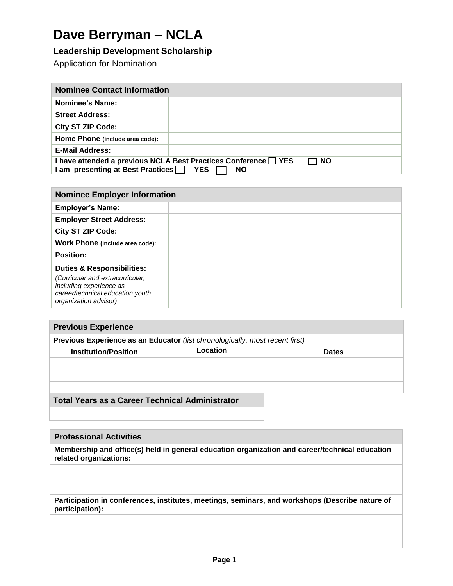# **Dave Berryman – NCLA**

## **Leadership Development Scholarship**

Application for Nomination

| <b>Nominee Contact Information</b>                                           |  |  |
|------------------------------------------------------------------------------|--|--|
| <b>Nominee's Name:</b>                                                       |  |  |
| <b>Street Address:</b>                                                       |  |  |
| <b>City ST ZIP Code:</b>                                                     |  |  |
| Home Phone (include area code):                                              |  |  |
| <b>E-Mail Address:</b>                                                       |  |  |
| I have attended a previous NCLA Best Practices Conference □ YES<br><b>NO</b> |  |  |
| I am presenting at Best Practices [<br>YES.<br><b>NO</b>                     |  |  |

| <b>Nominee Employer Information</b>                                                                                                                               |  |
|-------------------------------------------------------------------------------------------------------------------------------------------------------------------|--|
| <b>Employer's Name:</b>                                                                                                                                           |  |
| <b>Employer Street Address:</b>                                                                                                                                   |  |
| <b>City ST ZIP Code:</b>                                                                                                                                          |  |
| Work Phone (include area code):                                                                                                                                   |  |
| <b>Position:</b>                                                                                                                                                  |  |
| <b>Duties &amp; Responsibilities:</b><br>(Curricular and extracurricular,<br>including experience as<br>career/technical education youth<br>organization advisor) |  |

### **Previous Experience**

| Previous Experience as an Educator (list chronologically, most recent first) |  |
|------------------------------------------------------------------------------|--|
|                                                                              |  |

| <b>Institution/Position</b> | Location | <b>Dates</b> |
|-----------------------------|----------|--------------|
|                             |          |              |
|                             |          |              |
|                             |          |              |
| - - - -<br>$\sim$           |          |              |

**Total Years as a Career Technical Administrator**

#### **Professional Activities**

**Membership and office(s) held in general education organization and career/technical education related organizations:**

**Participation in conferences, institutes, meetings, seminars, and workshops (Describe nature of participation):**